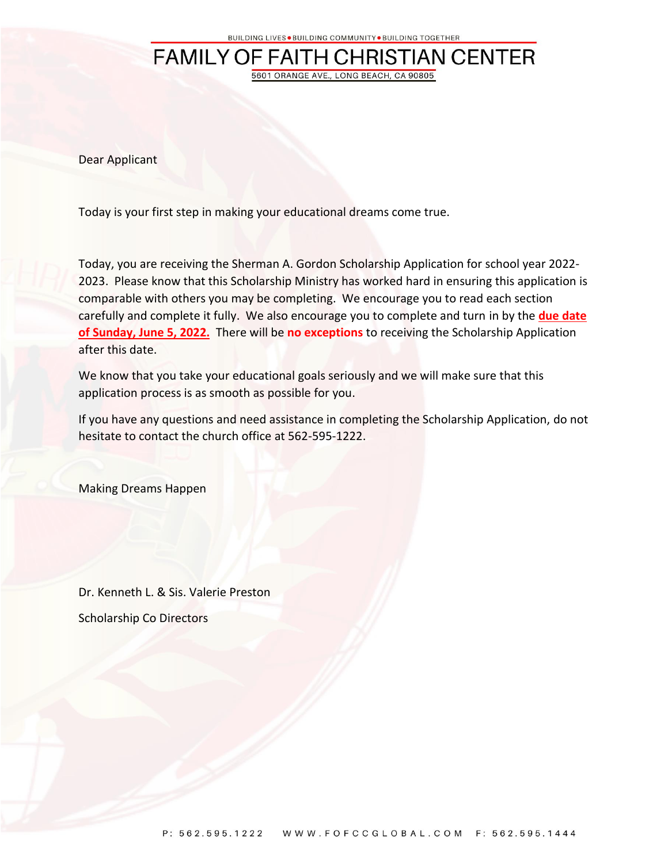## **FAMILY OF FAITH CHRISTIAN CENTER** 5601 ORANGE AVE., LONG BEACH, CA 90805

Dear Applicant

Today is your first step in making your educational dreams come true.

Today, you are receiving the Sherman A. Gordon Scholarship Application for school year 2022- 2023. Please know that this Scholarship Ministry has worked hard in ensuring this application is comparable with others you may be completing. We encourage you to read each section carefully and complete it fully. We also encourage you to complete and turn in by the **due date of Sunday, June 5, 2022.** There will be **no exceptions** to receiving the Scholarship Application after this date.

We know that you take your educational goals seriously and we will make sure that this application process is as smooth as possible for you.

If you have any questions and need assistance in completing the Scholarship Application, do not hesitate to contact the church office at 562-595-1222.

Making Dreams Happen

Dr. Kenneth L. & Sis. Valerie Preston Scholarship Co Directors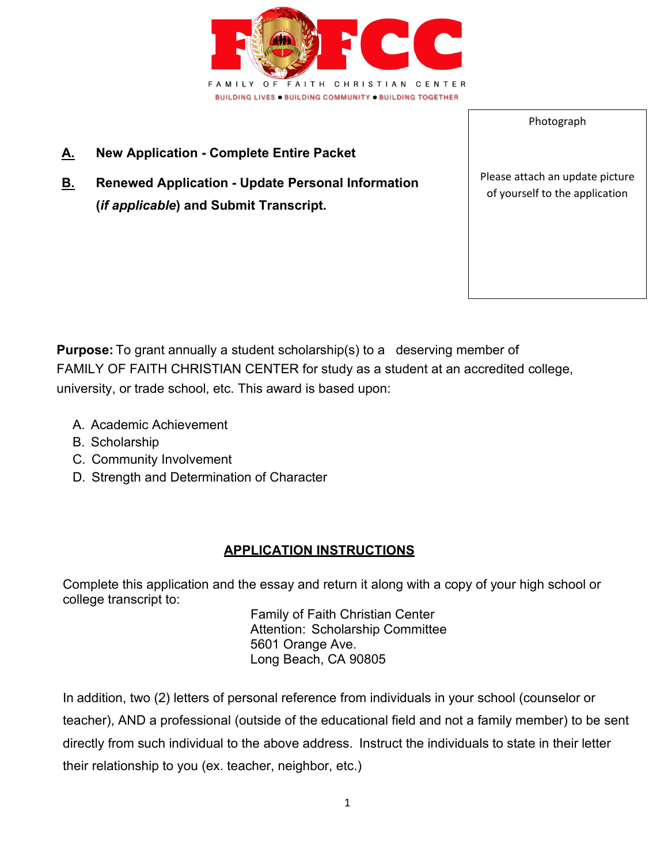

- **A. New Application Complete Entire Packet**
- **B. Renewed Application Update Personal Information (***if applicable***) and Submit Transcript.**

Please attach an update picture of yourself to the application

Photograph

**Purpose:** To grant annually a student scholarship(s) to a deserving member of FAMILY OF FAITH CHRISTIAN CENTER for study as a student at an accredited college, university, or trade school, etc. This award is based upon:

- A. Academic Achievement
- B. Scholarship
- C. Community Involvement
- D. Strength and Determination of Character

#### **APPLICATION INSTRUCTIONS**

Complete this application and the essay and return it along with a copy of your high school or college transcript to:

 Family of Faith Christian Center Attention: Scholarship Committee 5601 Orange Ave. Long Beach, CA 90805

In addition, two (2) letters of personal reference from individuals in your school (counselor or teacher), AND a professional (outside of the educational field and not a family member) to be sent directly from such individual to the above address. Instruct the individuals to state in their letter their relationship to you (ex. teacher, neighbor, etc.)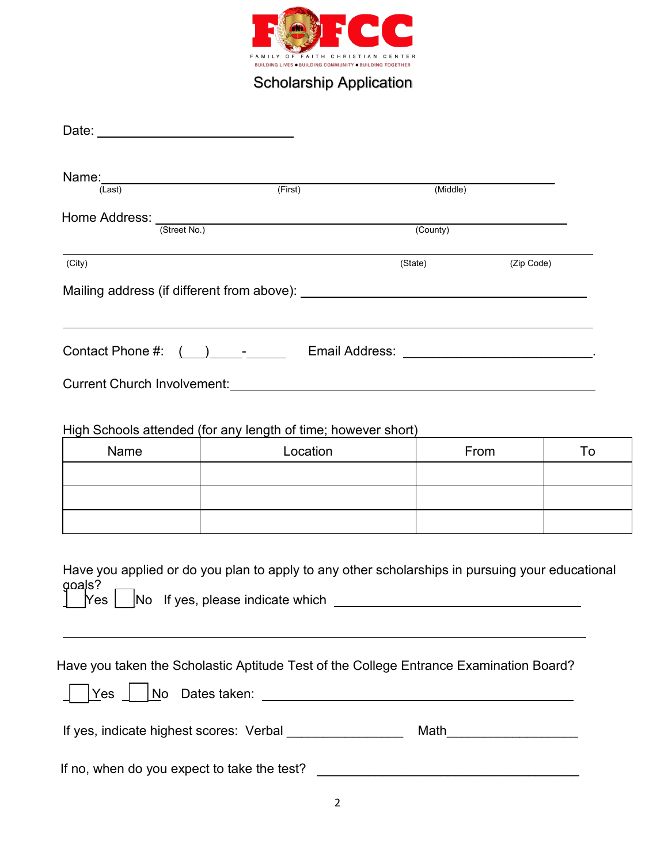

# Scholarship Application

| Name:__________________________<br>(Last)                  | (First)                                                                                                                                       | (Middle)              |      |    |
|------------------------------------------------------------|-----------------------------------------------------------------------------------------------------------------------------------------------|-----------------------|------|----|
|                                                            | Home Address: <u>(Street No.)</u>                                                                                                             | (County)              |      |    |
|                                                            |                                                                                                                                               |                       |      |    |
| (City)                                                     |                                                                                                                                               | (State)<br>(Zip Code) |      |    |
|                                                            |                                                                                                                                               |                       |      |    |
| Contact Phone #:                                           |                                                                                                                                               |                       |      |    |
|                                                            |                                                                                                                                               |                       |      |    |
|                                                            |                                                                                                                                               |                       |      |    |
| Name                                                       | High Schools attended (for any length of time; however short)<br>Location                                                                     |                       | From | To |
|                                                            |                                                                                                                                               |                       |      |    |
|                                                            |                                                                                                                                               |                       |      |    |
|                                                            |                                                                                                                                               |                       |      |    |
| <u>ooal</u> s?<br> Yes                                     | Have you applied or do you plan to apply to any other scholarships in pursuing your educational<br>[No If yes, please indicate which ________ |                       |      |    |
| Yes                                                        | Have you taken the Scholastic Aptitude Test of the College Entrance Examination Board?                                                        |                       |      |    |
| If yes, indicate highest scores: Verbal __________________ |                                                                                                                                               |                       |      |    |
| If no, when do you expect to take the test?                |                                                                                                                                               |                       |      |    |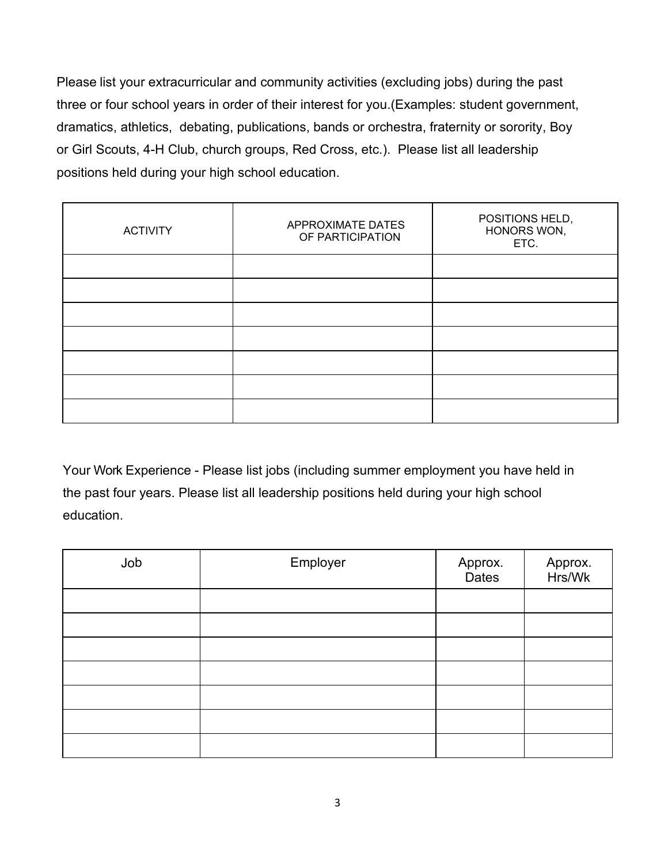Please list your extracurricular and community activities (excluding jobs) during the past three or four school years in order of their interest for you.(Examples: student government, dramatics, athletics, debating, publications, bands or orchestra, fraternity or sorority, Boy or Girl Scouts, 4-H Club, church groups, Red Cross, etc.). Please list all leadership positions held during your high school education.

| <b>ACTIVITY</b> | APPROXIMATE DATES<br>OF PARTICIPATION | POSITIONS HELD,<br>HONORS WON,<br>ETC. |  |
|-----------------|---------------------------------------|----------------------------------------|--|
|                 |                                       |                                        |  |
|                 |                                       |                                        |  |
|                 |                                       |                                        |  |
|                 |                                       |                                        |  |
|                 |                                       |                                        |  |
|                 |                                       |                                        |  |
|                 |                                       |                                        |  |

Your Work Experience - Please list jobs (including summer employment you have held in the past four years. Please list all leadership positions held during your high school education.

| Job | Employer | Approx.<br>Dates | Approx.<br>Hrs/Wk |
|-----|----------|------------------|-------------------|
|     |          |                  |                   |
|     |          |                  |                   |
|     |          |                  |                   |
|     |          |                  |                   |
|     |          |                  |                   |
|     |          |                  |                   |
|     |          |                  |                   |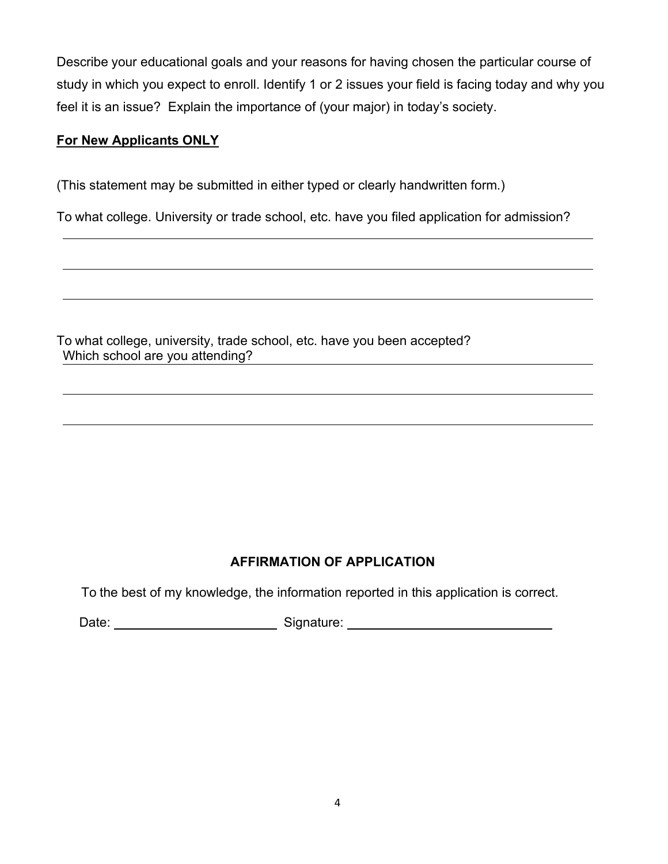Describe your educational goals and your reasons for having chosen the particular course of study in which you expect to enroll. Identify 1 or 2 issues your field is facing today and why you feel it is an issue? Explain the importance of (your major) in today's society.

### **For New Applicants ONLY**

(This statement may be submitted in either typed or clearly handwritten form.)

To what college. University or trade school, etc. have you filed application for admission?

To what college, university, trade school, etc. have you been accepted? Which school are you attending?

## **AFFIRMATION OF APPLICATION**

To the best of my knowledge, the information reported in this application is correct.

Date: <u>New York: Signature: Signature:</u> Signature: New York: Signature: New York: New York: New York: New York: New York: New York: New York: New York: New York: New York: New York: New York: New York: New York: New York: